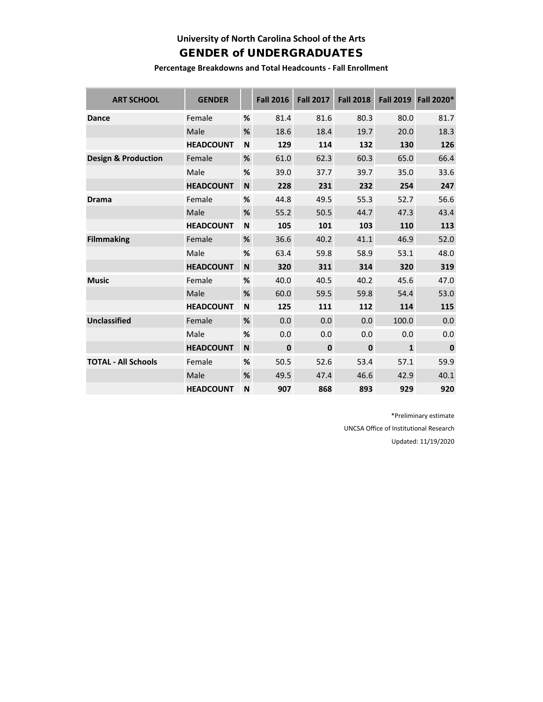# **University of North Carolina School of the Arts** GENDER of UNDERGRADUATES

**Percentage Breakdowns and Total Headcounts - Fall Enrollment**

| <b>ART SCHOOL</b>              | <b>GENDER</b>    |   | <b>Fall 2016</b> | <b>Fall 2017</b> | <b>Fall 2018</b> | <b>Fall 2019</b> | Fall 2020* |
|--------------------------------|------------------|---|------------------|------------------|------------------|------------------|------------|
| <b>Dance</b>                   | Female           | % | 81.4             | 81.6             | 80.3             | 80.0             | 81.7       |
|                                | Male             | % | 18.6             | 18.4             | 19.7             | 20.0             | 18.3       |
|                                | <b>HEADCOUNT</b> | N | 129              | 114              | 132              | 130              | 126        |
| <b>Design &amp; Production</b> | Female           | % | 61.0             | 62.3             | 60.3             | 65.0             | 66.4       |
|                                | Male             | % | 39.0             | 37.7             | 39.7             | 35.0             | 33.6       |
|                                | <b>HEADCOUNT</b> | N | 228              | 231              | 232              | 254              | 247        |
| <b>Drama</b>                   | Female           | % | 44.8             | 49.5             | 55.3             | 52.7             | 56.6       |
|                                | Male             | % | 55.2             | 50.5             | 44.7             | 47.3             | 43.4       |
|                                | <b>HEADCOUNT</b> | N | 105              | 101              | 103              | 110              | 113        |
| <b>Filmmaking</b>              | Female           | % | 36.6             | 40.2             | 41.1             | 46.9             | 52.0       |
|                                | Male             | % | 63.4             | 59.8             | 58.9             | 53.1             | 48.0       |
|                                | <b>HEADCOUNT</b> | N | 320              | 311              | 314              | 320              | 319        |
| <b>Music</b>                   | Female           | % | 40.0             | 40.5             | 40.2             | 45.6             | 47.0       |
|                                | Male             | % | 60.0             | 59.5             | 59.8             | 54.4             | 53.0       |
|                                | <b>HEADCOUNT</b> | N | 125              | 111              | 112              | 114              | 115        |
| <b>Unclassified</b>            | Female           | % | 0.0              | 0.0              | 0.0              | 100.0            | 0.0        |
|                                | Male             | % | 0.0              | 0.0              | 0.0              | 0.0              | 0.0        |
|                                | <b>HEADCOUNT</b> | N | $\bf{0}$         | $\mathbf 0$      | $\mathbf 0$      | $\mathbf{1}$     | $\bf{0}$   |
| <b>TOTAL - All Schools</b>     | Female           | % | 50.5             | 52.6             | 53.4             | 57.1             | 59.9       |
|                                | Male             | % | 49.5             | 47.4             | 46.6             | 42.9             | 40.1       |
|                                | <b>HEADCOUNT</b> | N | 907              | 868              | 893              | 929              | 920        |

\*Preliminary estimate

UNCSA Office of Institutional Research

Updated: 11/19/2020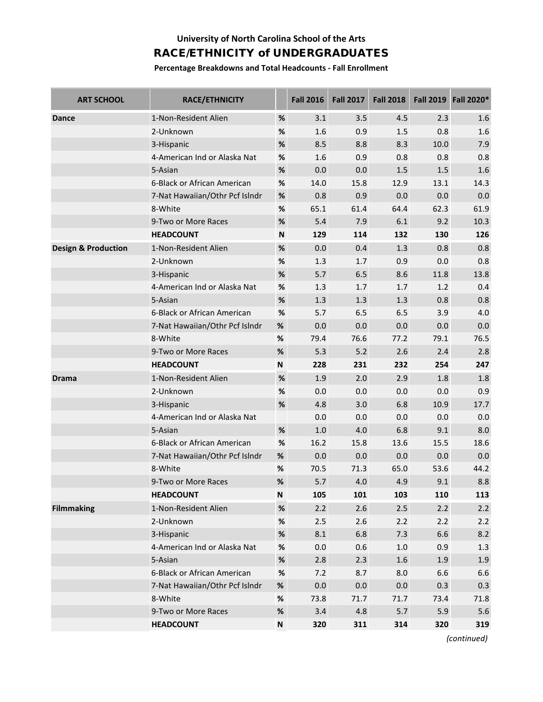## **University of North Carolina School of the Arts** RACE/ETHNICITY of UNDERGRADUATES

**Percentage Breakdowns and Total Headcounts - Fall Enrollment**

| <b>ART SCHOOL</b>              | <b>RACE/ETHNICITY</b>          |                           | <b>Fall 2016</b> | <b>Fall 2017</b> | <b>Fall 2018</b> | <b>Fall 2019</b> | <b>Fall 2020*</b> |
|--------------------------------|--------------------------------|---------------------------|------------------|------------------|------------------|------------------|-------------------|
| <b>Dance</b>                   | 1-Non-Resident Alien           | %                         | 3.1              | 3.5              | 4.5              | 2.3              | 1.6               |
|                                | 2-Unknown                      | %                         | 1.6              | 0.9              | 1.5              | 0.8              | 1.6               |
|                                | 3-Hispanic                     | $\%$                      | 8.5              | 8.8              | 8.3              | 10.0             | 7.9               |
|                                | 4-American Ind or Alaska Nat   | %                         | 1.6              | 0.9              | 0.8              | 0.8              | 0.8               |
|                                | 5-Asian                        | %                         | 0.0              | 0.0              | 1.5              | 1.5              | 1.6               |
|                                | 6-Black or African American    | $\%$                      | 14.0             | 15.8             | 12.9             | 13.1             | 14.3              |
|                                | 7-Nat Hawaiian/Othr Pcf Islndr | $\%$                      | 0.8              | 0.9              | 0.0              | 0.0              | 0.0               |
|                                | 8-White                        | %                         | 65.1             | 61.4             | 64.4             | 62.3             | 61.9              |
|                                | 9-Two or More Races            | $\%$                      | 5.4              | 7.9              | 6.1              | 9.2              | 10.3              |
|                                | <b>HEADCOUNT</b>               | N                         | 129              | 114              | 132              | 130              | 126               |
| <b>Design &amp; Production</b> | 1-Non-Resident Alien           | $\%$                      | 0.0              | 0.4              | 1.3              | 0.8              | 0.8               |
|                                | 2-Unknown                      | $\%$                      | 1.3              | 1.7              | 0.9              | 0.0              | 0.8               |
|                                | 3-Hispanic                     | $\%$                      | 5.7              | 6.5              | 8.6              | 11.8             | 13.8              |
|                                | 4-American Ind or Alaska Nat   | %                         | 1.3              | 1.7              | 1.7              | 1.2              | 0.4               |
|                                | 5-Asian                        | $\%$                      | 1.3              | 1.3              | 1.3              | 0.8              | 0.8               |
|                                | 6-Black or African American    | %                         | 5.7              | 6.5              | 6.5              | 3.9              | 4.0               |
|                                | 7-Nat Hawaiian/Othr Pcf Islndr | $\%$                      | 0.0              | 0.0              | 0.0              | 0.0              | 0.0               |
|                                | 8-White                        | %                         | 79.4             | 76.6             | 77.2             | 79.1             | 76.5              |
|                                | 9-Two or More Races            | $\%$                      | 5.3              | 5.2              | 2.6              | 2.4              | 2.8               |
|                                | <b>HEADCOUNT</b>               | N                         | 228              | 231              | 232              | 254              | 247               |
| <b>Drama</b>                   | 1-Non-Resident Alien           | $\%$                      | 1.9              | 2.0              | 2.9              | 1.8              | 1.8               |
|                                | 2-Unknown                      | %                         | 0.0              | 0.0              | 0.0              | 0.0              | 0.9               |
|                                | 3-Hispanic                     | $\%$                      | 4.8              | 3.0              | 6.8              | 10.9             | 17.7              |
|                                | 4-American Ind or Alaska Nat   |                           | 0.0              | 0.0              | 0.0              | 0.0              | 0.0               |
|                                | 5-Asian                        | $\%$                      | 1.0              | 4.0              | 6.8              | 9.1              | 8.0               |
|                                | 6-Black or African American    | %                         | 16.2             | 15.8             | 13.6             | 15.5             | 18.6              |
|                                | 7-Nat Hawaiian/Othr Pcf Islndr | %                         | 0.0              | 0.0              | 0.0              | 0.0              | 0.0               |
|                                | 8-White                        | $\%$                      | 70.5             | 71.3             | 65.0             | 53.6             | 44.2              |
|                                | 9-Two or More Races            | %                         | 5.7              | 4.0              | 4.9              | 9.1              | 8.8               |
|                                | <b>HEADCOUNT</b>               | $\boldsymbol{\mathsf{N}}$ | 105              | 101              | 103              | 110              | 113               |
| <b>Filmmaking</b>              | 1-Non-Resident Alien           | $\%$                      | 2.2              | 2.6              | 2.5              | 2.2              | 2.2               |
|                                | 2-Unknown                      | %                         | 2.5              | 2.6              | 2.2              | 2.2              | 2.2               |
|                                | 3-Hispanic                     | $\%$                      | 8.1              | 6.8              | 7.3              | 6.6              | 8.2               |
|                                | 4-American Ind or Alaska Nat   | %                         | $0.0\,$          | 0.6              | $1.0\,$          | 0.9              | 1.3               |
|                                | 5-Asian                        | $\%$                      | 2.8              | 2.3              | 1.6              | 1.9              | 1.9               |
|                                | 6-Black or African American    | $\%$                      | 7.2              | 8.7              | 8.0              | 6.6              | 6.6               |
|                                | 7-Nat Hawaiian/Othr Pcf Islndr | $\%$                      | 0.0              | 0.0              | 0.0              | 0.3              | 0.3               |
|                                | 8-White                        | $\%$                      | 73.8             | 71.7             | 71.7             | 73.4             | 71.8              |
|                                | 9-Two or More Races            | %                         | 3.4              | 4.8              | 5.7              | 5.9              | 5.6               |
|                                | <b>HEADCOUNT</b>               | N                         | 320              | 311              | 314              | 320              | 319               |

*(continued)*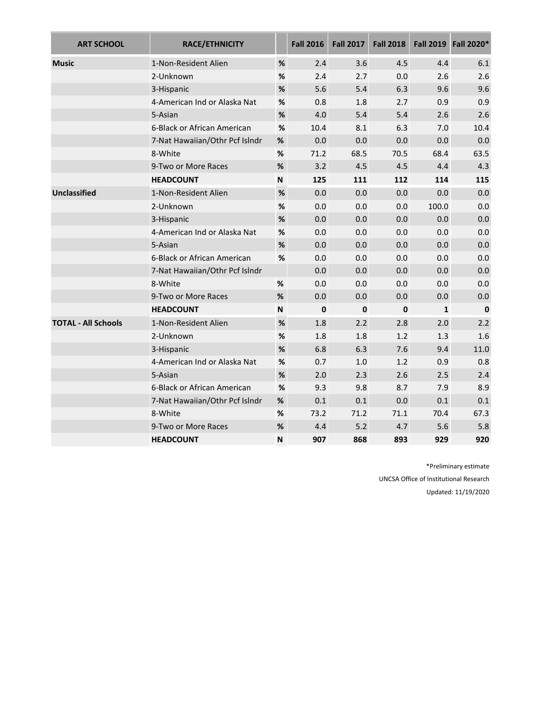| <b>ART SCHOOL</b>          | <b>RACE/ETHNICITY</b>          |      | <b>Fall 2016</b> | <b>Fall 2017</b> | <b>Fall 2018</b> |              | Fall 2019   Fall 2020* |
|----------------------------|--------------------------------|------|------------------|------------------|------------------|--------------|------------------------|
| <b>Music</b>               | 1-Non-Resident Alien           | %    | 2.4              | 3.6              | 4.5              | 4.4          | 6.1                    |
|                            | 2-Unknown                      | $\%$ | 2.4              | 2.7              | 0.0              | 2.6          | 2.6                    |
|                            | 3-Hispanic                     | %    | 5.6              | 5.4              | 6.3              | 9.6          | 9.6                    |
|                            | 4-American Ind or Alaska Nat   | $\%$ | 0.8              | 1.8              | 2.7              | 0.9          | 0.9                    |
|                            | 5-Asian                        | %    | 4.0              | 5.4              | 5.4              | 2.6          | 2.6                    |
|                            | 6-Black or African American    | $\%$ | 10.4             | 8.1              | 6.3              | 7.0          | 10.4                   |
|                            | 7-Nat Hawaiian/Othr Pcf Islndr | %    | 0.0              | 0.0              | 0.0              | 0.0          | 0.0                    |
|                            | 8-White                        | %    | 71.2             | 68.5             | 70.5             | 68.4         | 63.5                   |
|                            | 9-Two or More Races            | %    | 3.2              | 4.5              | 4.5              | 4.4          | 4.3                    |
|                            | <b>HEADCOUNT</b>               | N    | 125              | 111              | 112              | 114          | 115                    |
| <b>Unclassified</b>        | 1-Non-Resident Alien           | %    | 0.0              | 0.0              | 0.0              | 0.0          | 0.0                    |
|                            | 2-Unknown                      | $\%$ | 0.0              | 0.0              | 0.0              | 100.0        | 0.0                    |
|                            | 3-Hispanic                     | $\%$ | 0.0              | 0.0              | 0.0              | 0.0          | 0.0                    |
|                            | 4-American Ind or Alaska Nat   | $\%$ | 0.0              | 0.0              | 0.0              | 0.0          | 0.0                    |
|                            | 5-Asian                        | $\%$ | 0.0              | 0.0              | 0.0              | 0.0          | 0.0                    |
|                            | 6-Black or African American    | %    | 0.0              | 0.0              | 0.0              | 0.0          | 0.0                    |
|                            | 7-Nat Hawaiian/Othr Pcf Islndr |      | 0.0              | 0.0              | 0.0              | 0.0          | 0.0                    |
|                            | 8-White                        | $\%$ | 0.0              | 0.0              | 0.0              | 0.0          | 0.0                    |
|                            | 9-Two or More Races            | %    | 0.0              | 0.0              | 0.0              | 0.0          | 0.0                    |
|                            | <b>HEADCOUNT</b>               | N    | 0                | $\mathbf 0$      | $\mathbf 0$      | $\mathbf{1}$ | $\mathbf 0$            |
| <b>TOTAL - All Schools</b> | 1-Non-Resident Alien           | %    | 1.8              | 2.2              | 2.8              | 2.0          | 2.2                    |
|                            | 2-Unknown                      | $\%$ | 1.8              | 1.8              | 1.2              | 1.3          | 1.6                    |
|                            | 3-Hispanic                     | %    | 6.8              | 6.3              | 7.6              | 9.4          | 11.0                   |
|                            | 4-American Ind or Alaska Nat   | %    | 0.7              | 1.0              | 1.2              | 0.9          | 0.8                    |
|                            | 5-Asian                        | $\%$ | 2.0              | 2.3              | 2.6              | 2.5          | 2.4                    |
|                            | 6-Black or African American    | $\%$ | 9.3              | 9.8              | 8.7              | 7.9          | 8.9                    |
|                            | 7-Nat Hawaiian/Othr Pcf Islndr | %    | 0.1              | 0.1              | 0.0              | 0.1          | 0.1                    |
|                            | 8-White                        | %    | 73.2             | 71.2             | 71.1             | 70.4         | 67.3                   |
|                            | 9-Two or More Races            | %    | 4.4              | 5.2              | 4.7              | 5.6          | 5.8                    |
|                            | <b>HEADCOUNT</b>               | N    | 907              | 868              | 893              | 929          | 920                    |

\*Preliminary estimate UNCSA Office of Institutional Research

Updated: 11/19/2020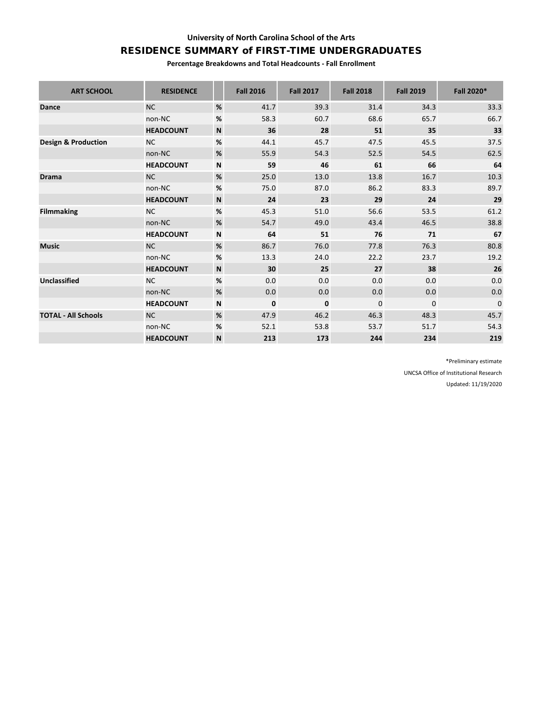### **University of North Carolina School of the Arts**

## RESIDENCE SUMMARY of FIRST-TIME UNDERGRADUATES

**Percentage Breakdowns and Total Headcounts - Fall Enrollment**

| <b>ART SCHOOL</b>              | <b>RESIDENCE</b> |                | <b>Fall 2016</b> | <b>Fall 2017</b> | <b>Fall 2018</b> | <b>Fall 2019</b> | Fall 2020* |
|--------------------------------|------------------|----------------|------------------|------------------|------------------|------------------|------------|
| <b>Dance</b>                   | <b>NC</b>        | %              | 41.7             | 39.3             | 31.4             | 34.3             | 33.3       |
|                                | non-NC           | $\%$           | 58.3             | 60.7             | 68.6             | 65.7             | 66.7       |
|                                | <b>HEADCOUNT</b> | N <sub>1</sub> | 36               | 28               | 51               | 35               | 33         |
| <b>Design &amp; Production</b> | <b>NC</b>        | $\%$           | 44.1             | 45.7             | 47.5             | 45.5             | 37.5       |
|                                | non-NC           | %              | 55.9             | 54.3             | 52.5             | 54.5             | 62.5       |
|                                | <b>HEADCOUNT</b> | ${\sf N}$      | 59               | 46               | 61               | 66               | 64         |
| <b>Drama</b>                   | NC               | $\%$           | 25.0             | 13.0             | 13.8             | 16.7             | 10.3       |
|                                | non-NC           | $\%$           | 75.0             | 87.0             | 86.2             | 83.3             | 89.7       |
|                                | <b>HEADCOUNT</b> | N              | 24               | 23               | 29               | 24               | 29         |
| <b>Filmmaking</b>              | <b>NC</b>        | %              | 45.3             | 51.0             | 56.6             | 53.5             | 61.2       |
|                                | non-NC           | %              | 54.7             | 49.0             | 43.4             | 46.5             | 38.8       |
|                                | <b>HEADCOUNT</b> | N              | 64               | 51               | 76               | 71               | 67         |
| <b>Music</b>                   | <b>NC</b>        | %              | 86.7             | 76.0             | 77.8             | 76.3             | 80.8       |
|                                | non-NC           | %              | 13.3             | 24.0             | 22.2             | 23.7             | 19.2       |
|                                | <b>HEADCOUNT</b> | $\mathsf{N}$   | 30               | 25               | 27               | 38               | 26         |
| <b>Unclassified</b>            | <b>NC</b>        | $\%$           | 0.0              | 0.0              | 0.0              | 0.0              | $0.0\,$    |
|                                | non-NC           | %              | 0.0              | 0.0              | 0.0              | 0.0              | $0.0\,$    |
|                                | <b>HEADCOUNT</b> | ${\sf N}$      | 0                | 0                | 0                | 0                | 0          |
| <b>TOTAL - All Schools</b>     | <b>NC</b>        | $\%$           | 47.9             | 46.2             | 46.3             | 48.3             | 45.7       |
|                                | non-NC           | %              | 52.1             | 53.8             | 53.7             | 51.7             | 54.3       |
|                                | <b>HEADCOUNT</b> | N              | 213              | 173              | 244              | 234              | 219        |

\*Preliminary estimate UNCSA Office of Institutional Research Updated: 11/19/2020